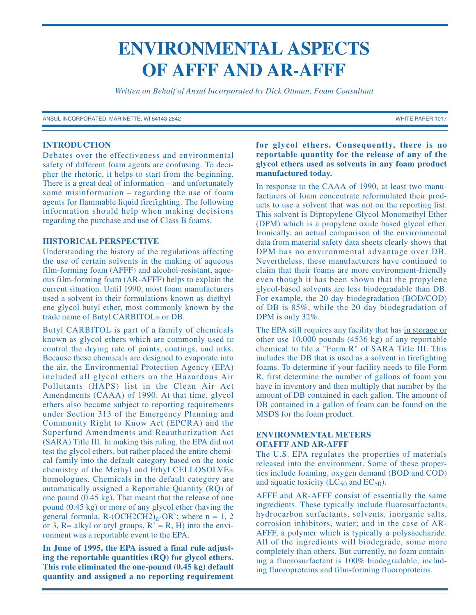# **ENVIRONMENTAL ASPECTS OF AFFF AND AR-AFFF**

*Written on Behalf of Ansul Incorporated by Dick Ottman, Foam Consultant*

ANSUL INCORPORATED, MARINETTE, WI 54143-2542 WHITE PAPER 1017

## **INTRODUCTION**

Debates over the effectiveness and environmental safety of different foam agents are confusing. To decipher the rhetoric, it helps to start from the beginning. There is a great deal of information – and unfortunately some misinformation – regarding the use of foam agents for flammable liquid firefighting. The following information should help when making decisions regarding the purchase and use of Class B foams.

#### **HISTORICAL PERSPECTIVE**

Understanding the history of the regulations affecting the use of certain solvents in the making of aqueous film-forming foam (AFFF) and alcohol-resistant, aqueous film-forming foam (AR-AFFF) helps to explain the current situation. Until 1990, most foam manufacturers used a solvent in their formulations known as diethylene glycol butyl ether, most commonly known by the trade name of Butyl CARBITOL® or DB.

Butyl CARBITOL is part of a family of chemicals known as glycol ethers which are commonly used to control the drying rate of paints, coatings, and inks. Because these chemicals are designed to evaporate into the air, the Environmental Protection Agency (EPA) included all glycol ethers on the Hazardous Air Pollutants (HAPS) list in the Clean Air Act Amendments (CAAA) of 1990. At that time, glycol ethers also became subject to reporting requirements under Section 313 of the Emergency Planning and Community Right to Know Act (EPCRA) and the Superfund Amendments and Reauthorization Act (SARA) Title III. In making this ruling, the EPA did not test the glycol ethers, but rather placed the entire chemical family into the default category based on the toxic chemistry of the Methyl and Ethyl CELLOSOLVE® homologues. Chemicals in the default category are automatically assigned a Reportable Quantity (RQ) of one pound (0.45 kg). That meant that the release of one pound (0.45 kg) or more of any glycol ether (having the general formula,  $R-(OCH2CH2)_n-OR$ ; where  $n = 1, 2$ or 3, R= alkyl or aryl groups,  $R' = R$ , H) into the environment was a reportable event to the EPA.

**In June of 1995, the EPA issued a final rule adjusting the reportable quantities (RQ) for glycol ethers. This rule eliminated the one-pound (0.45 kg) default quantity and assigned a no reporting requirement**

## **for glycol ethers. Consequently, there is no reportable quantity for the release of any of the glycol ethers used as solvents in any foam product manufactured today.**

In response to the CAAA of 1990, at least two manufacturers of foam concentrate reformulated their products to use a solvent that was not on the reporting list. This solvent is Dipropylene Glycol Monomethyl Ether (DPM) which is a propylene oxide based glycol ether. Ironically, an actual comparison of the environmental data from material safety data sheets clearly shows that DPM has no environmental advantage over DB. Nevertheless, these manufacturers have continued to claim that their foams are more environment-friendly even though it has been shown that the propylene glycol-based solvents are less biodegradable than DB. For example, the 20-day biodegradation (BOD/COD) of DB is 85%, while the 20-day biodegradation of DPM is only 32%.

The EPA still requires any facility that has in storage or other use 10,000 pounds (4536 kg) of any reportable chemical to file a "Form R" of SARA Title III. This includes the DB that is used as a solvent in firefighting foams. To determine if your facility needs to file Form R, first determine the number of gallons of foam you have in inventory and then multiply that number by the amount of DB contained in each gallon. The amount of DB contained in a gallon of foam can be found on the MSDS for the foam product.

# **ENVIRONMENTAL METERS OFAFFF AND AR-AFFF**

The U.S. EPA regulates the properties of materials released into the environment. Some of these properties include foaming, oxygen demand (BOD and COD) and aquatic toxicity  $(LC_{50}$  and  $EC_{50})$ .

AFFF and AR-AFFF consist of essentially the same ingredients. These typically include fluorosurfactants, hydrocarbon surfactants, solvents, inorganic salts, corrosion inhibitors, water; and in the case of AR-AFFF, a polymer which is typically a polysaccharide. All of the ingredients will biodegrade, some more completely than others. But currently, no foam containing a fluorosurfactant is 100% biodegradable, including fluoroproteins and film-forming fluoroproteins.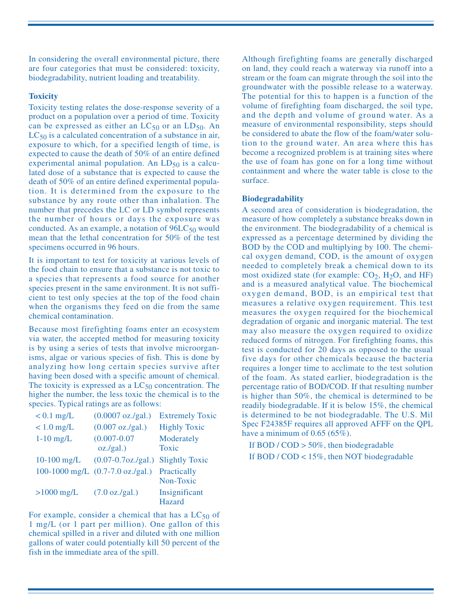In considering the overall environmental picture, there are four categories that must be considered: toxicity, biodegradability, nutrient loading and treatability.

# **Toxicity**

Toxicity testing relates the dose-response severity of a product on a population over a period of time. Toxicity can be expressed as either an  $LC_{50}$  or an  $LD_{50}$ . An  $LC_{50}$  is a calculated concentration of a substance in air, exposure to which, for a specified length of time, is expected to cause the death of 50% of an entire defined experimental animal population. An  $LD_{50}$  is a calculated dose of a substance that is expected to cause the death of 50% of an entire defined experimental population. It is determined from the exposure to the substance by any route other than inhalation. The number that precedes the LC or LD symbol represents the number of hours or days the exposure was conducted. As an example, a notation of  $96LC_{50}$  would mean that the lethal concentration for 50% of the test specimens occurred in 96 hours.

It is important to test for toxicity at various levels of the food chain to ensure that a substance is not toxic to a species that represents a food source for another species present in the same environment. It is not sufficient to test only species at the top of the food chain when the organisms they feed on die from the same chemical contamination.

Because most firefighting foams enter an ecosystem via water, the accepted method for measuring toxicity is by using a series of tests that involve microorganisms, algae or various species of fish. This is done by analyzing how long certain species survive after having been dosed with a specific amount of chemical. The toxicity is expressed as a  $LC_{50}$  concentration. The higher the number, the less toxic the chemical is to the species. Typical ratings are as follows:

| $< 0.1$ mg/L  | $(0.0007 \text{ oz./gal.})$                | <b>Extremely Toxic</b> |
|---------------|--------------------------------------------|------------------------|
| $< 1.0$ mg/L  | $(0.007 \text{ oz./gal.})$                 | <b>Highly Toxic</b>    |
| $1-10$ mg/L   | $(0.007 - 0.07)$                           | Moderately             |
|               | oz/gal.)                                   | Toxic                  |
| $10-100$ mg/L | $(0.07 - 0.7)oz/gal.)$                     | <b>Slightly Toxic</b>  |
|               | 100-1000 mg/L $(0.7-7.0 \text{ oz./gal.})$ | Practically            |
|               |                                            | Non-Toxic              |
| $>1000$ mg/L  | $(7.0 \text{ oz./gal.})$                   | Insignificant          |
|               |                                            | Hazard                 |

For example, consider a chemical that has a  $LC_{50}$  of 1 mg/L (or 1 part per million). One gallon of this chemical spilled in a river and diluted with one million gallons of water could potentially kill 50 percent of the fish in the immediate area of the spill.

Although firefighting foams are generally discharged on land, they could reach a waterway via runoff into a stream or the foam can migrate through the soil into the groundwater with the possible release to a waterway. The potential for this to happen is a function of the volume of firefighting foam discharged, the soil type, and the depth and volume of ground water. As a measure of environmental responsibility, steps should be considered to abate the flow of the foam/water solution to the ground water. An area where this has become a recognized problem is at training sites where the use of foam has gone on for a long time without containment and where the water table is close to the surface.

# **Biodegradability**

A second area of consideration is biodegradation, the measure of how completely a substance breaks down in the environment. The biodegradability of a chemical is expressed as a percentage determined by dividing the BOD by the COD and multiplying by 100. The chemical oxygen demand, COD, is the amount of oxygen needed to completely break a chemical down to its most oxidized state (for example:  $CO<sub>2</sub>$ ,  $H<sub>2</sub>O$ , and HF) and is a measured analytical value. The biochemical oxygen demand, BOD, is an empirical test that measures a relative oxygen requirement. This test measures the oxygen required for the biochemical degradation of organic and inorganic material. The test may also measure the oxygen required to oxidize reduced forms of nitrogen. For firefighting foams, this test is conducted for 20 days as opposed to the usual five days for other chemicals because the bacteria requires a longer time to acclimate to the test solution of the foam. As stated earlier, biodegradation is the percentage ratio of BOD/COD. If that resulting number is higher than 50%, the chemical is determined to be readily biodegradable. If it is below 15%, the chemical is determined to be not biodegradable. The U.S. Mil Spec F24385F requires all approved AFFF on the QPL have a minimum of 0.65 (65%).

If BOD /  $COD > 50\%$ , then biodegradable If BOD / COD < 15%, then NOT biodegradable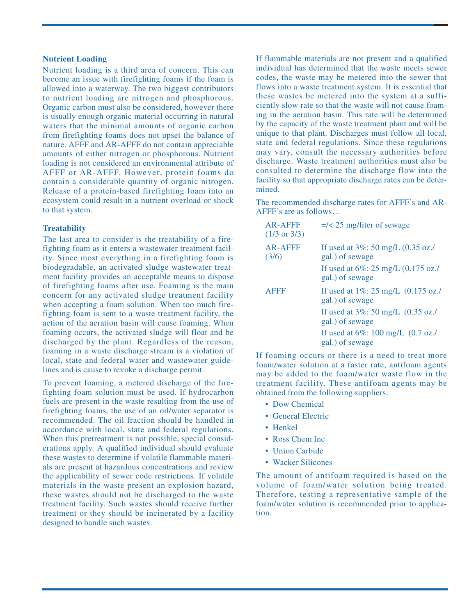#### **Nutrient Loading**

Nutrient loading is a third area of concern. This can become an issue with firefighting foams if the foam is allowed into a waterway. The two biggest contributors to nutrient loading are nitrogen and phosphorous. Organic carbon must also be considered, however there is usually enough organic material occurring in natural waters that the minimal amounts of organic carbon from firefighting foams does not upset the balance of nature. AFFF and AR-AFFF do not contain appreciable amounts of either nitrogen or phosphorous. Nutrient loading is not considered an environmental attribute of AFFF or AR-AFFF. However, protein foams do contain a considerable quantity of organic nitrogen. Release of a protein-based firefighting foam into an ecosystem could result in a nutrient overload or shock to that system.

#### **Treatability**

The last area to consider is the treatability of a firefighting foam as it enters a wastewater treatment facility. Since most everything in a firefighting foam is biodegradable, an activated sludge wastewater treatment facility provides an acceptable means to dispose of firefighting foams after use. Foaming is the main concern for any activated sludge treatment facility when accepting a foam solution. When too much firefighting foam is sent to a waste treatment facility, the action of the aeration basin will cause foaming. When foaming occurs, the activated sludge will float and be discharged by the plant. Regardless of the reason, foaming in a waste discharge stream is a violation of local, state and federal water and wastewater guidelines and is cause to revoke a discharge permit.

To prevent foaming, a metered discharge of the firefighting foam solution must be used. If hydrocarbon fuels are present in the waste resulting from the use of firefighting foams, the use of an oil/water separator is recommended. The oil fraction should be handled in accordance with local, state and federal regulations. When this pretreatment is not possible, special considerations apply. A qualified individual should evaluate these wastes to determine if volatile flammable materials are present at hazardous concentrations and review the applicability of sewer code restrictions. If volatile materials in the waste present an explosion hazard, these wastes should not be discharged to the waste treatment facility. Such wastes should receive further treatment or they should be incinerated by a facility designed to handle such wastes.

If flammable materials are not present and a qualified individual has determined that the waste meets sewer codes, the waste may be metered into the sewer that flows into a waste treatment system. It is essential that these wastes be metered into the system at a sufficiently slow rate so that the waste will not cause foaming in the aeration basin. This rate will be determined by the capacity of the waste treatment plant and will be unique to that plant. Discharges must follow all local, state and federal regulations. Since these regulations may vary, consult the necessary authorities before discharge. Waste treatment authorities must also be consulted to determine the discharge flow into the facility so that appropriate discharge rates can be determined.

The recommended discharge rates for AFFF's and AR-AFFF's are as follows…

| <b>AR-AFFF</b><br>$(1/3 \text{ or } 3/3)$ | $=\frac{25 \text{ mg}}{\text{ liter of}}$ sewage                    |
|-------------------------------------------|---------------------------------------------------------------------|
| AR-AFFF<br>(3/6)                          | If used at $3\%$ : 50 mg/L (0.35 oz./<br>gal.) of sewage            |
|                                           | If used at $6\%$ : 25 mg/L $(0.175 \text{ oz.})$<br>gal.) of sewage |
| <b>AFFF</b>                               | If used at $1\%$ : 25 mg/L $(0.175 \text{ oz.})$<br>gal.) of sewage |
|                                           | If used at $3\%$ : 50 mg/L $(0.35 \text{ oz.})$<br>gal.) of sewage  |
|                                           | If used at $6\%$ : 100 mg/L $(0.7 \text{ oz.})$<br>gal.) of sewage  |

If foaming occurs or there is a need to treat more foam/water solution at a faster rate, antifoam agents may be added to the foam/water waste flow in the treatment facility. These antifoam agents may be obtained from the following suppliers.

- Dow Chemical
- General Electric
- Henkel
- Ross Chem Inc
- Union Carbide
- Wacker Silicones

The amount of antifoam required is based on the volume of foam/water solution being treated. Therefore, testing a representative sample of the foam/water solution is recommended prior to application.